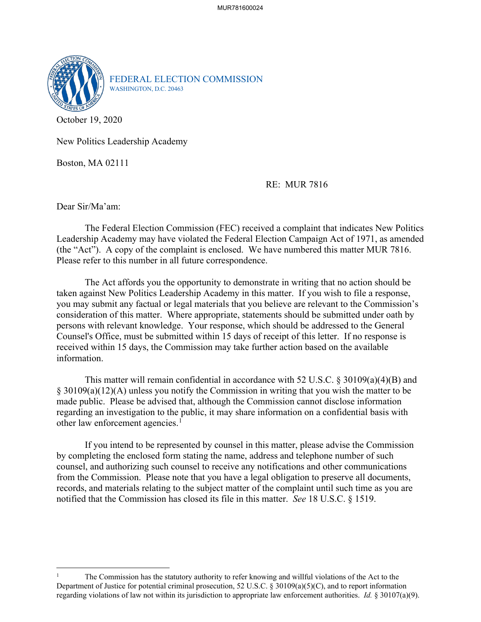

FEDERAL ELECTION COMMISSION WASHINGTON, D.C. 20463

October 19, 2020

New Politics Leadership Academy

Boston, MA 02111

## RE: MUR 7816

Dear Sir/Ma'am:

The Federal Election Commission (FEC) received a complaint that indicates New Politics Leadership Academy may have violated the Federal Election Campaign Act of 1971, as amended (the "Act"). A copy of the complaint is enclosed. We have numbered this matter MUR 7816. Please refer to this number in all future correspondence.

 The Act affords you the opportunity to demonstrate in writing that no action should be taken against New Politics Leadership Academy in this matter. If you wish to file a response, you may submit any factual or legal materials that you believe are relevant to the Commission's consideration of this matter. Where appropriate, statements should be submitted under oath by persons with relevant knowledge. Your response, which should be addressed to the General Counsel's Office, must be submitted within 15 days of receipt of this letter. If no response is received within 15 days, the Commission may take further action based on the available information.

This matter will remain confidential in accordance with 52 U.S.C. § 30109(a)(4)(B) and § 30109(a)(12)(A) unless you notify the Commission in writing that you wish the matter to be made public. Please be advised that, although the Commission cannot disclose information regarding an investigation to the public, it may share information on a confidential basis with other law enforcement agencies.<sup>[1](#page-0-0)</sup>

If you intend to be represented by counsel in this matter, please advise the Commission by completing the enclosed form stating the name, address and telephone number of such counsel, and authorizing such counsel to receive any notifications and other communications from the Commission. Please note that you have a legal obligation to preserve all documents, records, and materials relating to the subject matter of the complaint until such time as you are notified that the Commission has closed its file in this matter. *See* 18 U.S.C. § 1519.

<span id="page-0-0"></span><sup>1</sup> The Commission has the statutory authority to refer knowing and willful violations of the Act to the Department of Justice for potential criminal prosecution, 52 U.S.C. § 30109(a)(5)(C), and to report information regarding violations of law not within its jurisdiction to appropriate law enforcement authorities. *Id.* § 30107(a)(9).